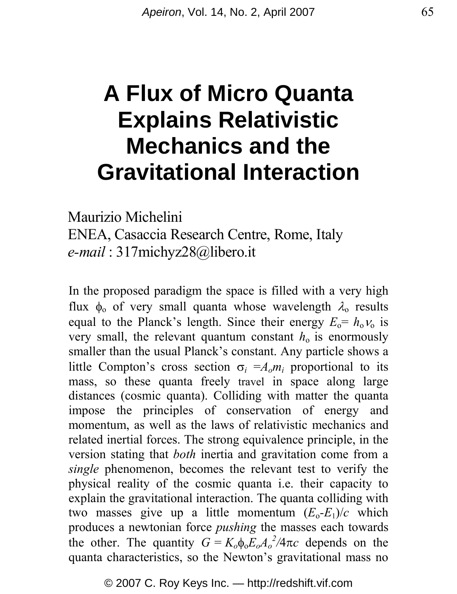# **A Flux of Micro Quanta Explains Relativistic Mechanics and the Gravitational Interaction**

Maurizio Michelini

ENEA, Casaccia Research Centre, Rome, Italy *e-mail* : 317michyz28@libero.it

In the proposed paradigm the space is filled with a very high flux  $φ_0$  of very small quanta whose wavelength  $λ_0$  results equal to the Planck's length. Since their energy  $E_0 = h_0 v_0$  is very small, the relevant quantum constant  $h_0$  is enormously smaller than the usual Planck's constant. Any particle shows a little Compton's cross section  $\sigma_i = A_o m_i$  proportional to its mass, so these quanta freely travel in space along large distances (cosmic quanta). Colliding with matter the quanta impose the principles of conservation of energy and momentum, as well as the laws of relativistic mechanics and related inertial forces. The strong equivalence principle, in the version stating that *both* inertia and gravitation come from a *single* phenomenon, becomes the relevant test to verify the physical reality of the cosmic quanta i.e. their capacity to explain the gravitational interaction. The quanta colliding with two masses give up a little momentum  $(E_0-E_1)/c$  which produces a newtonian force *pushing* the masses each towards the other. The quantity  $G = K_o \phi_o E_o A_o^2 / 4\pi c$  depends on the quanta characteristics, so the Newton's gravitational mass no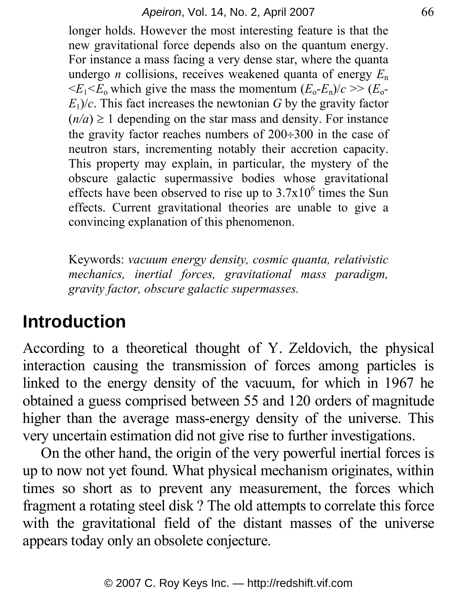#### *Apeiron*, Vol. 14, No. 2, April 2007 66

longer holds. However the most interesting feature is that the new gravitational force depends also on the quantum energy. For instance a mass facing a very dense star, where the quanta undergo *n* collisions, receives weakened quanta of energy  $E_n$  $\leq E_1 \leq E_0$  which give the mass the momentum  $(E_0 - E_n)/c \geq (E_0 - E_0)$  $E_1$ / $c$ . This fact increases the newtonian *G* by the gravity factor  $(n/a) \ge 1$  depending on the star mass and density. For instance the gravity factor reaches numbers of  $200 \div 300$  in the case of neutron stars, incrementing notably their accretion capacity. This property may explain, in particular, the mystery of the obscure galactic supermassive bodies whose gravitational effects have been observed to rise up to  $3.7x10^6$  times the Sun effects. Current gravitational theories are unable to give a convincing explanation of this phenomenon.

Keywords: *vacuum energy density, cosmic quanta, relativistic mechanics, inertial forces, gravitational mass paradigm, gravity factor, obscure galactic supermasses.*

### **Introduction**

According to a theoretical thought of Y. Zeldovich, the physical interaction causing the transmission of forces among particles is linked to the energy density of the vacuum, for which in 1967 he obtained a guess comprised between 55 and 120 orders of magnitude higher than the average mass-energy density of the universe. This very uncertain estimation did not give rise to further investigations.

On the other hand, the origin of the very powerful inertial forces is up to now not yet found. What physical mechanism originates, within times so short as to prevent any measurement, the forces which fragment a rotating steel disk ? The old attempts to correlate this force with the gravitational field of the distant masses of the universe appears today only an obsolete conjecture.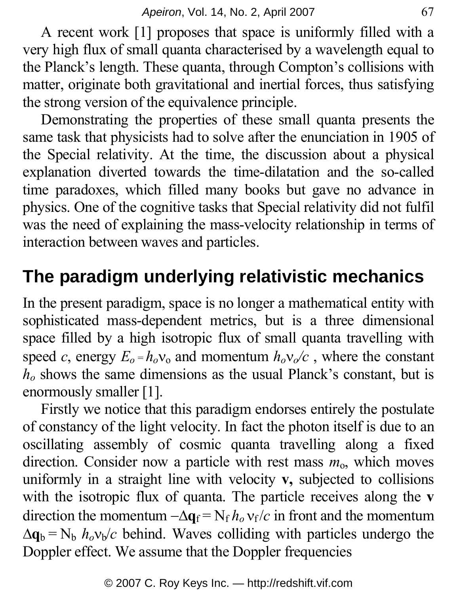A recent work [1] proposes that space is uniformly filled with a very high flux of small quanta characterised by a wavelength equal to the Planck's length. These quanta, through Compton's collisions with matter, originate both gravitational and inertial forces, thus satisfying the strong version of the equivalence principle.

Demonstrating the properties of these small quanta presents the same task that physicists had to solve after the enunciation in 1905 of the Special relativity. At the time, the discussion about a physical explanation diverted towards the time-dilatation and the so-called time paradoxes, which filled many books but gave no advance in physics. One of the cognitive tasks that Special relativity did not fulfil was the need of explaining the mass-velocity relationship in terms of interaction between waves and particles.

# **The paradigm underlying relativistic mechanics**

In the present paradigm, space is no longer a mathematical entity with sophisticated mass-dependent metrics, but is a three dimensional space filled by a high isotropic flux of small quanta travelling with speed *c*, energy  $E_0 = h_0 v_0$  and momentum  $h_0 v_0/c$ , where the constant *ho* shows the same dimensions as the usual Planck's constant, but is enormously smaller [1].

Firstly we notice that this paradigm endorses entirely the postulate of constancy of the light velocity. In fact the photon itself is due to an oscillating assembly of cosmic quanta travelling along a fixed direction. Consider now a particle with rest mass  $m_0$ , which moves uniformly in a straight line with velocity **v,** subjected to collisions with the isotropic flux of quanta. The particle receives along the **v** direction the momentum  $-\Delta \mathbf{q}_f = N_f h_o v_f/c$  in front and the momentum  $\Delta q_b = N_b h_o v_b/c$  behind. Waves colliding with particles undergo the Doppler effect. We assume that the Doppler frequencies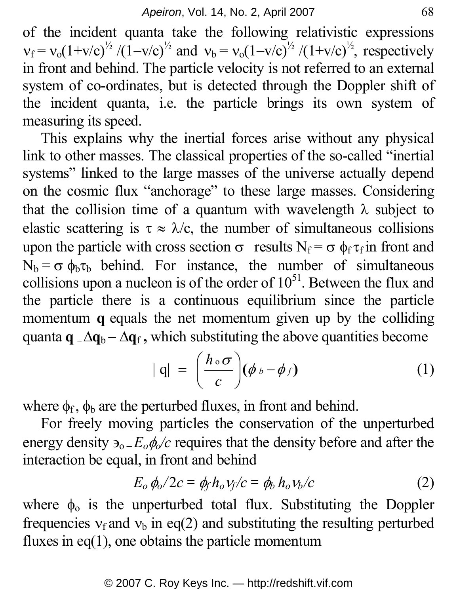of the incident quanta take the following relativistic expressions  $v_f = v_0(1+v/c)^{1/2}/(1-v/c)^{1/2}$  and  $v_b = v_0(1-v/c)^{1/2}/(1+v/c)^{1/2}$ , respectively in front and behind. The particle velocity is not referred to an external system of co-ordinates, but is detected through the Doppler shift of the incident quanta, i.e. the particle brings its own system of measuring its speed.

This explains why the inertial forces arise without any physical link to other masses. The classical properties of the so-called "inertial systems" linked to the large masses of the universe actually depend on the cosmic flux "anchorage" to these large masses. Considering that the collision time of a quantum with wavelength  $\lambda$  subject to elastic scattering is  $\tau \approx \lambda/c$ , the number of simultaneous collisions upon the particle with cross section  $\sigma$  results  $N_f = \sigma \phi_f \tau_f$  in front and  $N_b = \sigma \phi_b \tau_b$  behind. For instance, the number of simultaneous collisions upon a nucleon is of the order of  $10^{51}$ . Between the flux and the particle there is a continuous equilibrium since the particle momentum **q** equals the net momentum given up by the colliding quanta  $\mathbf{q} = \Delta \mathbf{q}_b - \Delta \mathbf{q}_f$ , which substituting the above quantities become

$$
|q| = \left(\frac{h \circ \sigma}{c}\right)(\phi \circ -\phi f) \tag{1}
$$

where  $\phi_f$ ,  $\phi_b$  are the perturbed fluxes, in front and behind.

For freely moving particles the conservation of the unperturbed energy density  $\mathfrak{d}_{0} = E_0 \phi_0/c$  requires that the density before and after the interaction be equal, in front and behind

$$
E_o \phi_o / 2c = \phi_f h_o v_f / c = \phi_b h_o v_b / c \tag{2}
$$

where  $\phi_0$  is the unperturbed total flux. Substituting the Doppler frequencies  $v_f$  and  $v_b$  in eq(2) and substituting the resulting perturbed fluxes in eq(1), one obtains the particle momentum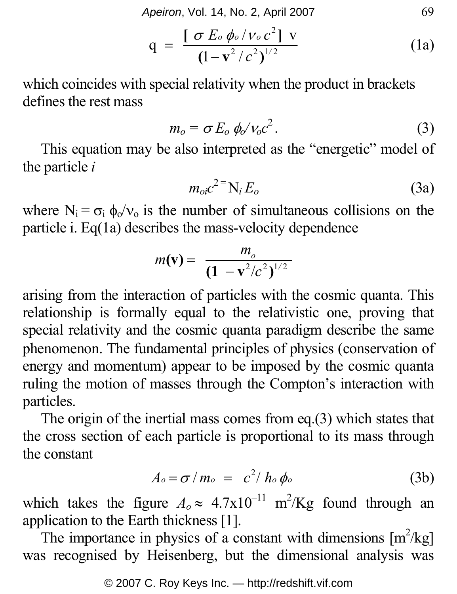*Apeiron*, Vol. 14, No. 2, April 2007 69

$$
q = \frac{[\sigma E_0 \phi_0 / v_0 c^2] v}{(1 - v^2 / c^2)^{1/2}}
$$
 (1a)

which coincides with special relativity when the product in brackets defines the rest mass

$$
m_o = \sigma E_o \phi_o / v_o c^2. \tag{3}
$$

This equation may be also interpreted as the "energetic" model of the particle *i*

$$
m_{oi}c^{2} = N_i E_o \tag{3a}
$$

where  $N_i = \sigma_i \phi_0/v_0$  is the number of simultaneous collisions on the particle i. Eq(1a) describes the mass-velocity dependence

$$
m(\mathbf{v}) = \frac{m_o}{(1 - \mathbf{v}^2/c^2)^{1/2}}
$$

arising from the interaction of particles with the cosmic quanta. This relationship is formally equal to the relativistic one, proving that special relativity and the cosmic quanta paradigm describe the same phenomenon. Τhe fundamental principles of physics (conservation of energy and momentum) appear to be imposed by the cosmic quanta ruling the motion of masses through the Compton's interaction with particles.

The origin of the inertial mass comes from eq.(3) which states that the cross section of each particle is proportional to its mass through the constant

$$
A_o = \sigma / m_o = c^2 / h_o \phi_o \tag{3b}
$$

which takes the figure  $A_0 \approx 4.7 \times 10^{-11}$  m<sup>2</sup>/Kg found through an application to the Earth thickness [1].

The importance in physics of a constant with dimensions  $[m^2/kg]$ was recognised by Heisenberg, but the dimensional analysis was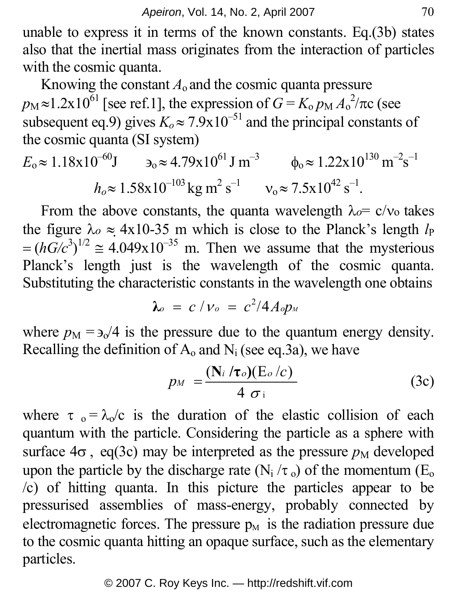unable to express it in terms of the known constants. Eq.(3b) states also that the inertial mass originates from the interaction of particles with the cosmic quanta.

Knowing the constant  $A_0$  and the cosmic quanta pressure  $p_M \approx 1.2 \times 10^{61}$  [see ref.1], the expression of  $G = K_0 p_M A_0^2 / \pi c$  (see subsequent eq.9) gives  $K_0 \approx 7.9 \times 10^{-51}$  and the principal constants of the cosmic quanta (SI system)

$$
E_0 \approx 1.18 \times 10^{-60} \text{J}
$$
  $\qquad \qquad \mathfrak{d}_0 \approx 4.79 \times 10^{61} \text{J m}^{-3}$   $\qquad \qquad \phi_0 \approx 1.22 \times 10^{130} \text{ m}^{-2} \text{s}^{-1}$   
\n $h_o \approx 1.58 \times 10^{-103} \text{kg m}^2 \text{ s}^{-1}$   $\qquad \qquad \mathsf{v}_0 \approx 7.5 \times 10^{42} \text{ s}^{-1}.$ 

From the above constants, the quanta wavelength  $\lambda_0 = c/v_0$  takes the figure  $\lambda_o \approx 4x10-35$  m which is close to the Planck's length  $l_P$  $=(hG/c<sup>3</sup>)<sup>1/2</sup> \approx 4.049x10<sup>-35</sup>$  m. Then we assume that the mysterious Planck's length just is the wavelength of the cosmic quanta. Substituting the characteristic constants in the wavelength one obtains

$$
\lambda_o = c / \nu_o = c^2 / 4 A_o p_w
$$

where  $p_M = \frac{3}{4}$  is the pressure due to the quantum energy density. Recalling the definition of  $A_0$  and  $N_i$  (see eq.3a), we have

$$
p_M = \frac{(\mathbf{N}_i / \tau_o)(\mathbf{E}_o / c)}{4 \sigma_i} \tag{3c}
$$

where  $\tau_0 = \lambda_0/c$  is the duration of the elastic collision of each quantum with the particle. Considering the particle as a sphere with surface  $4\sigma$ , eq(3c) may be interpreted as the pressure  $p_M$  developed upon the particle by the discharge rate (N<sub>i</sub>  $/\tau_0$ ) of the momentum (E<sub>o</sub> /c) of hitting quanta. In this picture the particles appear to be pressurised assemblies of mass-energy, probably connected by electromagnetic forces. The pressure  $p_M$  is the radiation pressure due to the cosmic quanta hitting an opaque surface, such as the elementary particles.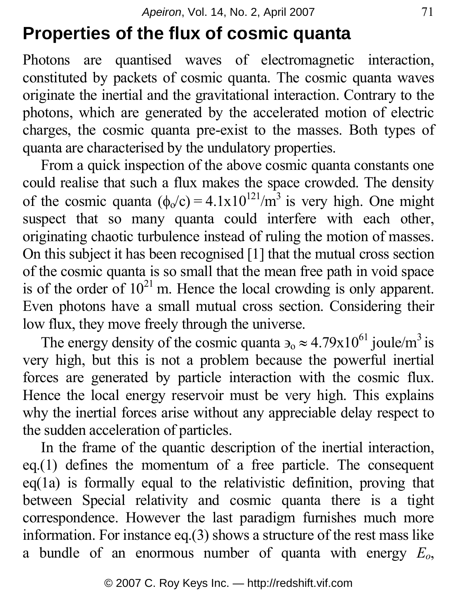# **Properties of the flux of cosmic quanta**

Photons are quantised waves of electromagnetic interaction, constituted by packets of cosmic quanta. The cosmic quanta waves originate the inertial and the gravitational interaction. Contrary to the photons, which are generated by the accelerated motion of electric charges, the cosmic quanta pre-exist to the masses. Both types of quanta are characterised by the undulatory properties.

From a quick inspection of the above cosmic quanta constants one could realise that such a flux makes the space crowded. The density of the cosmic quanta  $(\phi_0/c) = 4.1 \times 10^{121} / m^3$  is very high. One might suspect that so many quanta could interfere with each other, originating chaotic turbulence instead of ruling the motion of masses. On this subject it has been recognised [1] that the mutual cross section of the cosmic quanta is so small that the mean free path in void space is of the order of  $10^{21}$  m. Hence the local crowding is only apparent. Even photons have a small mutual cross section. Considering their low flux, they move freely through the universe.

The energy density of the cosmic quanta  $\epsilon_0 \approx 4.79 \times 10^{61}$  joule/m<sup>3</sup> is very high, but this is not a problem because the powerful inertial forces are generated by particle interaction with the cosmic flux. Hence the local energy reservoir must be very high. This explains why the inertial forces arise without any appreciable delay respect to the sudden acceleration of particles.

In the frame of the quantic description of the inertial interaction, eq.(1) defines the momentum of a free particle. The consequent eq(1a) is formally equal to the relativistic definition, proving that between Special relativity and cosmic quanta there is a tight correspondence. However the last paradigm furnishes much more information. For instance eq.(3) shows a structure of the rest mass like a bundle of an enormous number of quanta with energy *Eo*,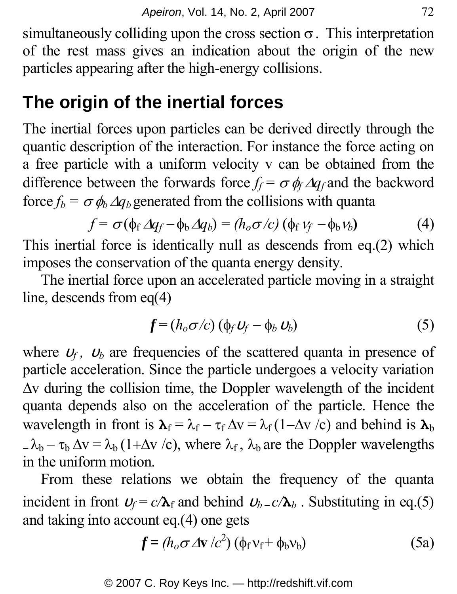simultaneously colliding upon the cross section  $\sigma$ . This interpretation of the rest mass gives an indication about the origin of the new particles appearing after the high-energy collisions.

# **The origin of the inertial forces**

The inertial forces upon particles can be derived directly through the quantic description of the interaction. For instance the force acting on a free particle with a uniform velocity v can be obtained from the difference between the forwards force  $f_f = \sigma \phi_f \Delta q_f$  and the backword force  $f_b = \sigma \phi_b \Delta q_b$  generated from the collisions with quanta

$$
f = \sigma(\phi_f \Delta q_f - \phi_b \Delta q_b) = (h_o \sigma/c) (\phi_f \nu_f - \phi_b \nu_b)
$$
 (4)

This inertial force is identically null as descends from eq.(2) which imposes the conservation of the quanta energy density.

The inertial force upon an accelerated particle moving in a straight line, descends from eq(4)

$$
f = (h_o \sigma/c) (\phi_f v_f - \phi_b v_b)
$$
 (5)

where  $U_f$ ,  $U_b$  are frequencies of the scattered quanta in presence of particle acceleration. Since the particle undergoes a velocity variation Δv during the collision time, the Doppler wavelength of the incident quanta depends also on the acceleration of the particle. Hence the wavelength in front is  $\mathbf{\lambda}_f = \lambda_f - \tau_f \Delta v = \lambda_f (1 - \Delta v / c)$  and behind is  $\mathbf{\lambda}_b$  $=\lambda_b - \tau_b \Delta v = \lambda_b (1 + \Delta v / c)$ , where  $\lambda_f$ ,  $\lambda_b$  are the Doppler wavelengths in the uniform motion.

From these relations we obtain the frequency of the quanta incident in front  $U_f = c/\lambda_f$  and behind  $U_b = c/\lambda_b$ . Substituting in eq.(5) and taking into account eq.(4) one gets

$$
f = (h_o \sigma \Delta v / c^2) (\phi_f v_f + \phi_b v_b)
$$
 (5a)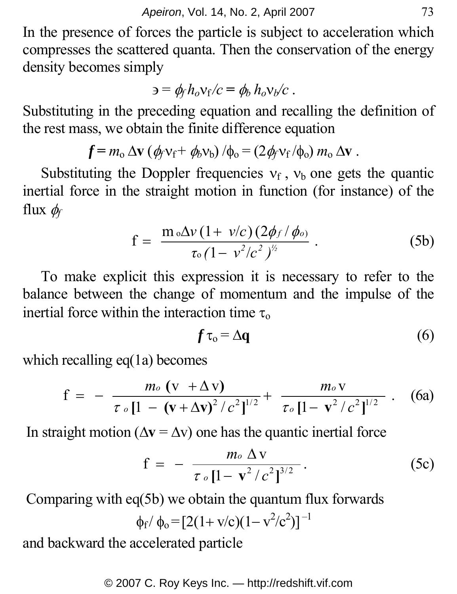In the presence of forces the particle is subject to acceleration which compresses the scattered quanta. Then the conservation of the energy density becomes simply

$$
\mathbf{a} = \phi_f h_o v_f / c = \phi_b h_o v_b / c \; .
$$

Substituting in the preceding equation and recalling the definition of the rest mass, we obtain the finite difference equation

$$
f = m_{\rm o} \, \Delta \mathbf{v} \left( \phi_f \mathbf{v}_f + \phi_b \mathbf{v}_b \right) / \phi_{\rm o} = (2 \phi_f \mathbf{v}_f / \phi_{\rm o}) \, m_{\rm o} \, \Delta \mathbf{v} \, .
$$

Substituting the Doppler frequencies  $v_f$ ,  $v_b$  one gets the quantic inertial force in the straight motion in function (for instance) of the flux  $\phi_f$ 

$$
f = \frac{m \, \delta \Delta v \, (1 + \nu/c) \, (2 \phi_f / \phi_o)}{\tau_o \, (1 - \nu^2 / c^2)^{\frac{1}{2}}} \,. \tag{5b}
$$

To make explicit this expression it is necessary to refer to the balance between the change of momentum and the impulse of the inertial force within the interaction time  $\tau_0$ 

$$
f\,\tau_{\mathrm{o}} = \Delta \mathbf{q} \tag{6}
$$

which recalling eq(1a) becomes

$$
f = - \frac{m_0 (v + \Delta v)}{\tau_0 [1 - (v + \Delta v)^2 / c^2]^{1/2}} + \frac{m_0 v}{\tau_0 [1 - v^2 / c^2]^{1/2}} \ . \quad (6a)
$$

In straight motion ( $\Delta$ **v** =  $\Delta$ **v**) one has the quantic inertial force

$$
f = - \frac{m_o \Delta v}{\tau_o \left[1 - v^2/c^2\right]^{3/2}}.
$$
 (5c)

Comparing with eq(5b) we obtain the quantum flux forwards

$$
\phi_f / \phi_o = [2(1 + v/c)(1 - v^2/c^2)]^{-1}
$$

and backward the accelerated particle

© 2007 C. Roy Keys Inc. — http://redshift.vif.com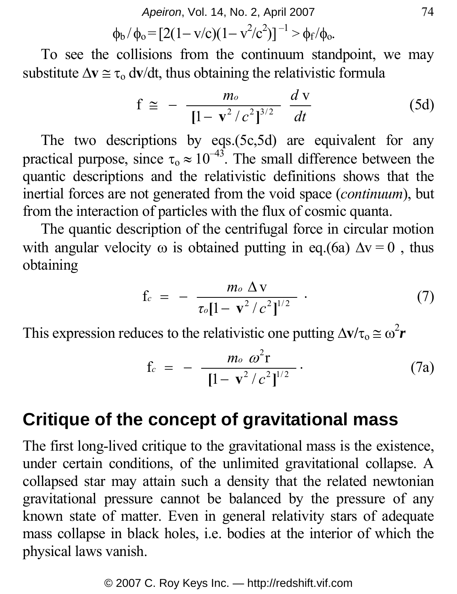*Apeiron*, Vol. 14, No. 2, April 2007 74

$$
\varphi_b / \varphi_o = [2(1 - v/c)(1 - v^2/c^2)]^{-1} > \varphi_f / \varphi_o.
$$

To see the collisions from the continuum standpoint, we may substitute  $\Delta v \approx \tau_0 \frac{dv}{dt}$ , thus obtaining the relativistic formula

$$
f \approx -\frac{m_o}{[1 - v^2/c^2]^{3/2}} \frac{d v}{dt}
$$
 (5d)

The two descriptions by eqs.(5c,5d) are equivalent for any practical purpose, since  $\tau_0 \approx 10^{-43}$ . The small difference between the quantic descriptions and the relativistic definitions shows that the inertial forces are not generated from the void space (*continuum*), but from the interaction of particles with the flux of cosmic quanta.

The quantic description of the centrifugal force in circular motion with angular velocity  $\omega$  is obtained putting in eq.(6a)  $\Delta v = 0$ , thus obtaining

$$
f_c = - \frac{m_o \Delta v}{\tau_o [1 - v^2/c^2]^{1/2}} \ . \tag{7}
$$

This expression reduces to the relativistic one putting  $\Delta v/\tau_0 \approx \omega^2 r$ 

$$
f_c = - \frac{m_o \omega^2 r}{\left[1 - v^2/c^2\right]^{1/2}}.
$$
 (7a)

### **Critique of the concept of gravitational mass**

The first long-lived critique to the gravitational mass is the existence, under certain conditions, of the unlimited gravitational collapse. A collapsed star may attain such a density that the related newtonian gravitational pressure cannot be balanced by the pressure of any known state of matter. Even in general relativity stars of adequate mass collapse in black holes, i.e. bodies at the interior of which the physical laws vanish.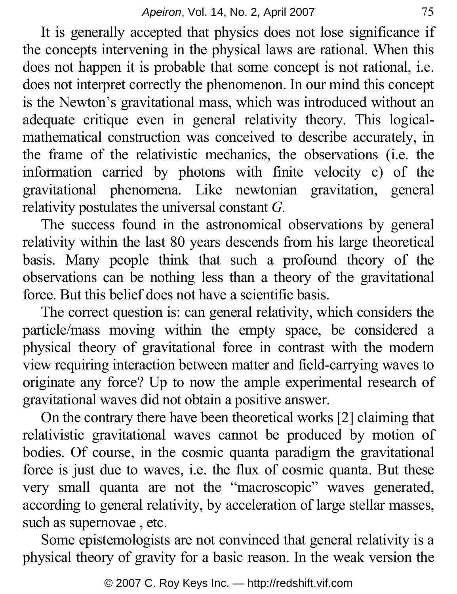It is generally accepted that physics does not lose significance if the concepts intervening in the physical laws are rational. When this does not happen it is probable that some concept is not rational, i.e. does not interpret correctly the phenomenon. In our mind this concept is the Newton's gravitational mass, which was introduced without an adequate critique even in general relativity theory. This logicalmathematical construction was conceived to describe accurately, in the frame of the relativistic mechanics, the observations (i.e. the information carried by photons with finite velocity c) of the gravitational phenomena. Like newtonian gravitation, general relativity postulates the universal constant *G.*

The success found in the astronomical observations by general relativity within the last 80 years descends from his large theoretical basis. Many people think that such a profound theory of the observations can be nothing less than a theory of the gravitational force. But this belief does not have a scientific basis.

The correct question is: can general relativity, which considers the particle/mass moving within the empty space, be considered a physical theory of gravitational force in contrast with the modern view requiring interaction between matter and field-carrying waves to originate any force? Up to now the ample experimental research of gravitational waves did not obtain a positive answer.

On the contrary there have been theoretical works [2] claiming that relativistic gravitational waves cannot be produced by motion of bodies. Of course, in the cosmic quanta paradigm the gravitational force is just due to waves, i.e. the flux of cosmic quanta. But these very small quanta are not the "macroscopic" waves generated, according to general relativity, by acceleration of large stellar masses, such as supernovae , etc.

Some epistemologists are not convinced that general relativity is a physical theory of gravity for a basic reason. In the weak version the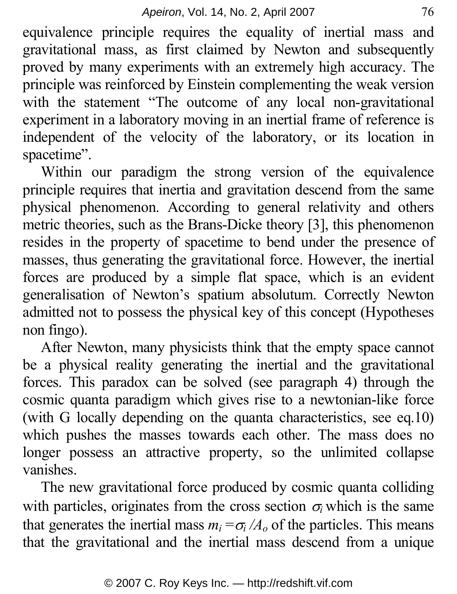equivalence principle requires the equality of inertial mass and gravitational mass, as first claimed by Newton and subsequently proved by many experiments with an extremely high accuracy. The principle was reinforced by Einstein complementing the weak version with the statement "The outcome of any local non-gravitational experiment in a laboratory moving in an inertial frame of reference is independent of the velocity of the laboratory, or its location in spacetime".

Within our paradigm the strong version of the equivalence principle requires that inertia and gravitation descend from the same physical phenomenon. According to general relativity and others metric theories, such as the Brans-Dicke theory [3], this phenomenon resides in the property of spacetime to bend under the presence of masses, thus generating the gravitational force. However, the inertial forces are produced by a simple flat space, which is an evident generalisation of Newton's spatium absolutum. Correctly Newton admitted not to possess the physical key of this concept (Hypotheses non fingo).

After Newton, many physicists think that the empty space cannot be a physical reality generating the inertial and the gravitational forces. This paradox can be solved (see paragraph 4) through the cosmic quanta paradigm which gives rise to a newtonian-like force (with G locally depending on the quanta characteristics, see eq.10) which pushes the masses towards each other. The mass does no longer possess an attractive property, so the unlimited collapse vanishes.

The new gravitational force produced by cosmic quanta colliding with particles, originates from the cross section  $\sigma_i$  which is the same that generates the inertial mass  $m_i = \sigma_i / A_o$  of the particles. This means that the gravitational and the inertial mass descend from a unique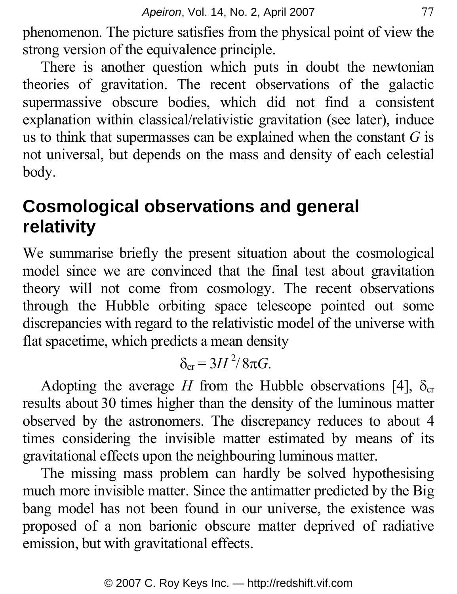phenomenon. The picture satisfies from the physical point of view the strong version of the equivalence principle.

There is another question which puts in doubt the newtonian theories of gravitation. The recent observations of the galactic supermassive obscure bodies, which did not find a consistent explanation within classical/relativistic gravitation (see later), induce us to think that supermasses can be explained when the constant *G* is not universal, but depends on the mass and density of each celestial body.

# **Cosmological observations and general relativity**

We summarise briefly the present situation about the cosmological model since we are convinced that the final test about gravitation theory will not come from cosmology. The recent observations through the Hubble orbiting space telescope pointed out some discrepancies with regard to the relativistic model of the universe with flat spacetime, which predicts a mean density

$$
\delta_{\rm cr} = 3H^2/8\pi G.
$$

Adopting the average *H* from the Hubble observations [4],  $\delta_{cr}$ results about 30 times higher than the density of the luminous matter observed by the astronomers. The discrepancy reduces to about 4 times considering the invisible matter estimated by means of its gravitational effects upon the neighbouring luminous matter.

The missing mass problem can hardly be solved hypothesising much more invisible matter. Since the antimatter predicted by the Big bang model has not been found in our universe, the existence was proposed of a non barionic obscure matter deprived of radiative emission, but with gravitational effects.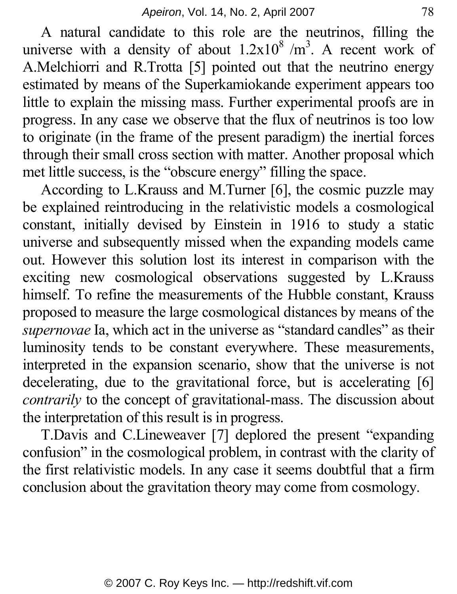A natural candidate to this role are the neutrinos, filling the universe with a density of about  $1.2x10^8/m^3$ . A recent work of A.Melchiorri and R.Trotta [5] pointed out that the neutrino energy estimated by means of the Superkamiokande experiment appears too little to explain the missing mass. Further experimental proofs are in progress. In any case we observe that the flux of neutrinos is too low to originate (in the frame of the present paradigm) the inertial forces through their small cross section with matter. Another proposal which met little success, is the "obscure energy" filling the space.

According to L.Krauss and M.Turner [6], the cosmic puzzle may be explained reintroducing in the relativistic models a cosmological constant, initially devised by Einstein in 1916 to study a static universe and subsequently missed when the expanding models came out. However this solution lost its interest in comparison with the exciting new cosmological observations suggested by L.Krauss himself. To refine the measurements of the Hubble constant, Krauss proposed to measure the large cosmological distances by means of the *supernovae* Ia, which act in the universe as "standard candles" as their luminosity tends to be constant everywhere. These measurements, interpreted in the expansion scenario, show that the universe is not decelerating, due to the gravitational force, but is accelerating [6] *contrarily* to the concept of gravitational-mass. The discussion about the interpretation of this result is in progress.

T.Davis and C.Lineweaver [7] deplored the present "expanding confusion" in the cosmological problem, in contrast with the clarity of the first relativistic models. In any case it seems doubtful that a firm conclusion about the gravitation theory may come from cosmology.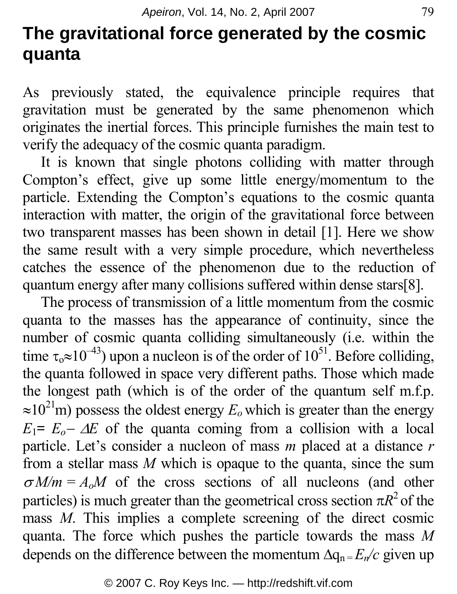# **The gravitational force generated by the cosmic quanta**

As previously stated, the equivalence principle requires that gravitation must be generated by the same phenomenon which originates the inertial forces. This principle furnishes the main test to verify the adequacy of the cosmic quanta paradigm.

It is known that single photons colliding with matter through Compton's effect, give up some little energy/momentum to the particle. Extending the Compton's equations to the cosmic quanta interaction with matter, the origin of the gravitational force between two transparent masses has been shown in detail [1]. Here we show the same result with a very simple procedure, which nevertheless catches the essence of the phenomenon due to the reduction of quantum energy after many collisions suffered within dense stars[8].

The process of transmission of a little momentum from the cosmic quanta to the masses has the appearance of continuity, since the number of cosmic quanta colliding simultaneously (i.e. within the time  $\tau_0 \approx 10^{-43}$ ) upon a nucleon is of the order of  $10^{51}$ . Before colliding, the quanta followed in space very different paths. Those which made the longest path (which is of the order of the quantum self m.f.p.  $\approx 10^{21}$ m) possess the oldest energy  $E_0$  which is greater than the energy  $E_1 = E_0 - \Delta E$  of the quanta coming from a collision with a local particle. Let's consider a nucleon of mass *m* placed at a distance *r* from a stellar mass *M* which is opaque to the quanta, since the sum  $\sigma M/m = A_0M$  of the cross sections of all nucleons (and other particles) is much greater than the geometrical cross section  $\pi R^2$  of the mass *M*. This implies a complete screening of the direct cosmic quanta. The force which pushes the particle towards the mass *M* depends on the difference between the momentum  $\Delta q_n = E_n/c$  given up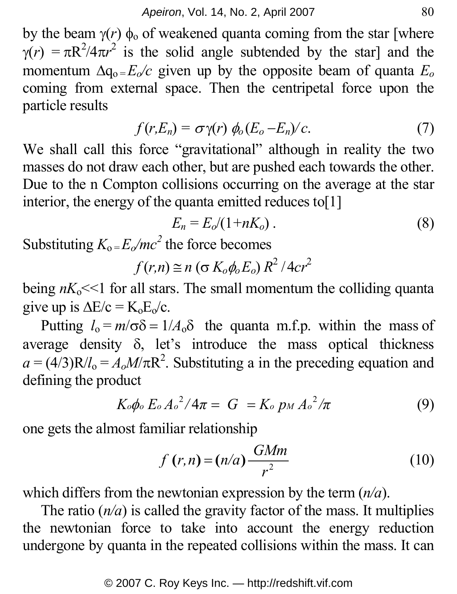by the beam  $\gamma(r)$   $φ_0$  of weakened quanta coming from the star [where  $\gamma(r) = \pi R^2/4\pi r^2$  is the solid angle subtended by the star] and the momentum  $\Delta q_0 = E_0/c$  given up by the opposite beam of quanta  $E_0$ coming from external space. Then the centripetal force upon the particle results

$$
f(r, E_n) = \sigma \gamma(r) \phi_0 (E_o - E_n) / c. \tag{7}
$$

We shall call this force "gravitational" although in reality the two masses do not draw each other, but are pushed each towards the other. Due to the n Compton collisions occurring on the average at the star interior, the energy of the quanta emitted reduces to[1]

$$
E_n = E_o/(1 + nK_o) \tag{8}
$$

Substituting  $K_0 = E_0/mc^2$  the force becomes

$$
f(r,n) \cong n \left(\sigma K_o \phi_o E_o\right) R^2 / 4cr^2
$$

being  $nK_0 \ll 1$  for all stars. The small momentum the colliding quanta give up is  $\Delta E/c = K_0 E_0/c$ .

Putting  $l_0 = m/\sigma \delta = 1/A_0 \delta$  the quanta m.f.p. within the mass of average density  $\delta$ , let's introduce the mass optical thickness  $a = (4/3)R/I_0 = A_0M/\pi R^2$ . Substituting a in the preceding equation and defining the product

$$
K_o\phi_o E_o A_o^2/4\pi = G = K_o p_M A_o^2/\pi
$$
 (9)

one gets the almost familiar relationship

$$
f(r,n) = (n/a)\frac{GMm}{r^2} \tag{10}
$$

which differs from the newtonian expression by the term (*n/a*).

The ratio  $(n/a)$  is called the gravity factor of the mass. It multiplies the newtonian force to take into account the energy reduction undergone by quanta in the repeated collisions within the mass. It can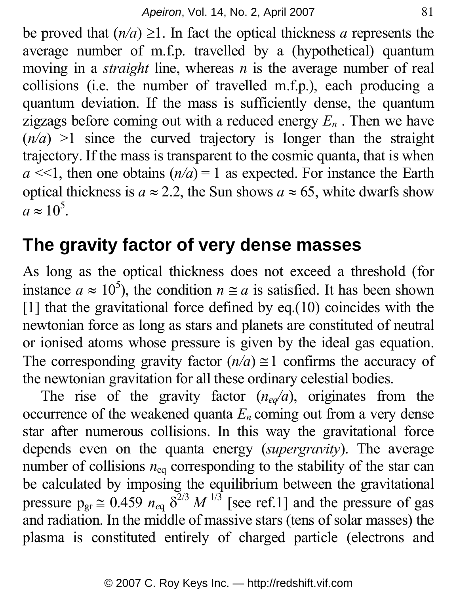be proved that  $(n/a) \ge 1$ . In fact the optical thickness *a* represents the average number of m.f.p. travelled by a (hypothetical) quantum moving in a *straight* line, whereas *n* is the average number of real collisions (i.e. the number of travelled m.f.p.), each producing a quantum deviation. If the mass is sufficiently dense, the quantum zigzags before coming out with a reduced energy  $E_n$ . Then we have  $(n/a)$  >1 since the curved trajectory is longer than the straight trajectory. If the mass is transparent to the cosmic quanta, that is when  $a \ll 1$ , then one obtains  $(n/a) = 1$  as expected. For instance the Earth optical thickness is  $a \approx 2.2$ , the Sun shows  $a \approx 65$ , white dwarfs show  $a \approx 10^5$ .

### **The gravity factor of very dense masses**

As long as the optical thickness does not exceed a threshold (for instance  $a \approx 10^5$ ), the condition  $n \approx a$  is satisfied. It has been shown [1] that the gravitational force defined by eq.(10) coincides with the newtonian force as long as stars and planets are constituted of neutral or ionised atoms whose pressure is given by the ideal gas equation. The corresponding gravity factor  $(n/a) \approx 1$  confirms the accuracy of the newtonian gravitation for all these ordinary celestial bodies.

The rise of the gravity factor  $(n_{eq}/a)$ , originates from the occurrence of the weakened quanta  $E_n$  coming out from a very dense star after numerous collisions. In this way the gravitational force depends even on the quanta energy (*supergravity*). The average number of collisions  $n_{eq}$  corresponding to the stability of the star can be calculated by imposing the equilibrium between the gravitational pressure  $p_{gr} \approx 0.459 n_{eq} \delta^{2/3} M^{1/3}$  [see ref.1] and the pressure of gas and radiation. In the middle of massive stars (tens of solar masses) the plasma is constituted entirely of charged particle (electrons and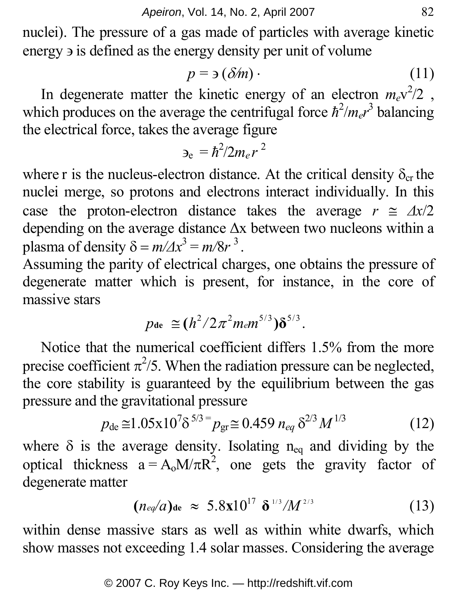nuclei). The pressure of a gas made of particles with average kinetic energy ∋ is defined as the energy density per unit of volume

$$
p = \mathfrak{I}(\delta \textit{m}) \tag{11}
$$

In degenerate matter the kinetic energy of an electron  $m_e v^2/2$ , which produces on the average the centrifugal force  $\hbar^2/m_e r^3$  balancing the electrical force, takes the average figure

$$
\epsilon_{\rm e} = \hbar^2/2m_e r^2
$$

where r is the nucleus-electron distance. At the critical density  $\delta_{cr}$  the nuclei merge, so protons and electrons interact individually. In this case the proton-electron distance takes the average  $r \approx \Delta x/2$ depending on the average distance Δx between two nucleons within a plasma of density  $\delta = m/\Delta x^3 = m/8r^3$ .

Assuming the parity of electrical charges, one obtains the pressure of degenerate matter which is present, for instance, in the core of massive stars

$$
p_{\text{de}} \cong (h^2/2\pi^2 m_e m^{5/3})\delta^{5/3}
$$
.

Notice that the numerical coefficient differs 1.5% from the more precise coefficient  $\pi^2/5$ . When the radiation pressure can be neglected, the core stability is guaranteed by the equilibrium between the gas pressure and the gravitational pressure

$$
p_{\text{de}} \cong 1.05 \times 10^7 \delta^{5/3} = p_{\text{gr}} \cong 0.459 n_{eq} \delta^{2/3} M^{1/3}
$$
 (12)

where  $\delta$  is the average density. Isolating n<sub>eq</sub> and dividing by the optical thickness  $a = A_0 M/\pi R^2$ , one gets the gravity factor of degenerate matter

$$
(n_{eq}/a)_{\text{de}} \approx 5.8 \times 10^{17} \delta^{1/3}/M^{2/3} \tag{13}
$$

within dense massive stars as well as within white dwarfs, which show masses not exceeding 1.4 solar masses. Considering the average

#### © 2007 C. Roy Keys Inc. — http://redshift.vif.com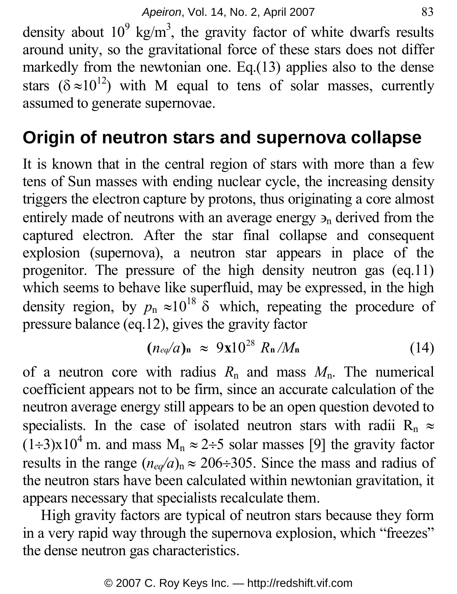density about  $10^9$  kg/m<sup>3</sup>, the gravity factor of white dwarfs results around unity, so the gravitational force of these stars does not differ markedly from the newtonian one. Eq.(13) applies also to the dense stars ( $\delta \approx 10^{12}$ ) with M equal to tens of solar masses, currently assumed to generate supernovae.

# **Origin of neutron stars and supernova collapse**

It is known that in the central region of stars with more than a few tens of Sun masses with ending nuclear cycle, the increasing density triggers the electron capture by protons, thus originating a core almost entirely made of neutrons with an average energy  $\mathcal{P}_n$  derived from the captured electron. After the star final collapse and consequent explosion (supernova), a neutron star appears in place of the progenitor. The pressure of the high density neutron gas (eq.11) which seems to behave like superfluid, may be expressed, in the high density region, by  $p_n \approx 10^{18}$  δ which, repeating the procedure of pressure balance (eq.12), gives the gravity factor

$$
(n_{eq}/a)_{\rm n} \approx 9 \mathbf{x} 10^{28} R_{\rm n}/M_{\rm n} \tag{14}
$$

of a neutron core with radius  $R_n$  and mass  $M_n$ . The numerical coefficient appears not to be firm, since an accurate calculation of the neutron average energy still appears to be an open question devoted to specialists. In the case of isolated neutron stars with radii R<sub>n</sub>  $\approx$  $(1\div 3)x10^4$  m. and mass  $M_n \approx 2\div 5$  solar masses [9] the gravity factor results in the range  $(n_{eq}/a)$ <sub>n</sub>  $\approx$  206÷305. Since the mass and radius of the neutron stars have been calculated within newtonian gravitation, it appears necessary that specialists recalculate them.

High gravity factors are typical of neutron stars because they form in a very rapid way through the supernova explosion, which "freezes" the dense neutron gas characteristics.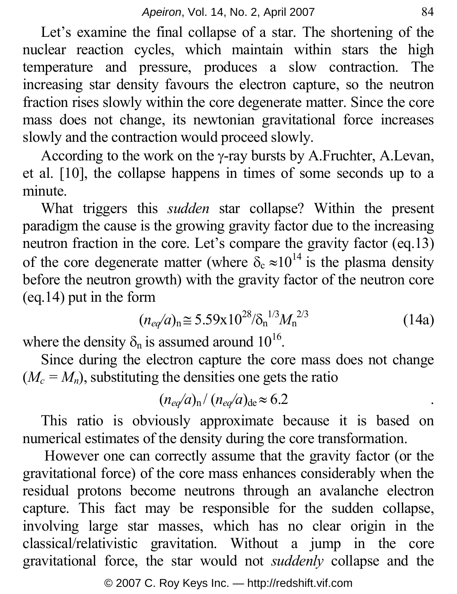Let's examine the final collapse of a star. The shortening of the nuclear reaction cycles, which maintain within stars the high temperature and pressure, produces a slow contraction. The increasing star density favours the electron capture, so the neutron fraction rises slowly within the core degenerate matter. Since the core mass does not change, its newtonian gravitational force increases slowly and the contraction would proceed slowly.

According to the work on the γ-ray bursts by A.Fruchter, A.Levan, et al. [10], the collapse happens in times of some seconds up to a minute.

What triggers this *sudden* star collapse? Within the present paradigm the cause is the growing gravity factor due to the increasing neutron fraction in the core. Let's compare the gravity factor (eq.13) of the core degenerate matter (where  $\delta_c \approx 10^{14}$  is the plasma density before the neutron growth) with the gravity factor of the neutron core (eq.14) put in the form

$$
(n_{eq}/a)_{\rm n} \cong 5.59 \times 10^{28} / \delta_{\rm n}^{1/3} M_{\rm n}^{2/3} \tag{14a}
$$

where the density  $\delta_n$  is assumed around  $10^{16}$ .

Since during the electron capture the core mass does not change  $(M_c = M_n)$ , substituting the densities one gets the ratio

$$
(n_{eq}/a)_{\rm n}/(n_{eq}/a)_{\rm de} \approx 6.2
$$

This ratio is obviously approximate because it is based on numerical estimates of the density during the core transformation.

 However one can correctly assume that the gravity factor (or the gravitational force) of the core mass enhances considerably when the residual protons become neutrons through an avalanche electron capture. This fact may be responsible for the sudden collapse, involving large star masses, which has no clear origin in the classical/relativistic gravitation. Without a jump in the core gravitational force, the star would not *suddenly* collapse and the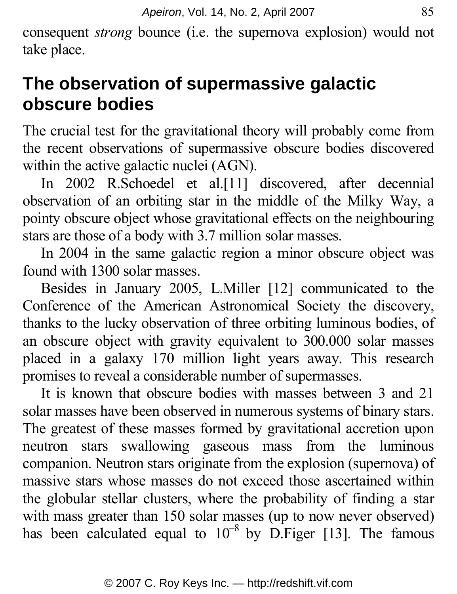consequent *strong* bounce (i.e. the supernova explosion) would not take place.

# **The observation of supermassive galactic obscure bodies**

The crucial test for the gravitational theory will probably come from the recent observations of supermassive obscure bodies discovered within the active galactic nuclei (AGN).

In 2002 R.Schoedel et al.[11] discovered, after decennial observation of an orbiting star in the middle of the Milky Way, a pointy obscure object whose gravitational effects on the neighbouring stars are those of a body with 3.7 million solar masses.

In 2004 in the same galactic region a minor obscure object was found with 1300 solar masses.

Besides in January 2005, L.Miller [12] communicated to the Conference of the American Astronomical Society the discovery, thanks to the lucky observation of three orbiting luminous bodies, of an obscure object with gravity equivalent to 300.000 solar masses placed in a galaxy 170 million light years away. This research promises to reveal a considerable number of supermasses.

It is known that obscure bodies with masses between 3 and 21 solar masses have been observed in numerous systems of binary stars. The greatest of these masses formed by gravitational accretion upon neutron stars swallowing gaseous mass from the luminous companion. Neutron stars originate from the explosion (supernova) of massive stars whose masses do not exceed those ascertained within the globular stellar clusters, where the probability of finding a star with mass greater than 150 solar masses (up to now never observed) has been calculated equal to  $10^{-8}$  by D.Figer [13]. The famous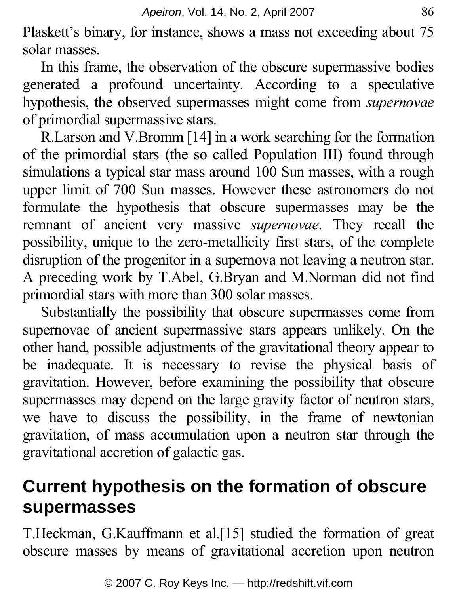Plaskett's binary, for instance, shows a mass not exceeding about 75 solar masses.

In this frame, the observation of the obscure supermassive bodies generated a profound uncertainty. According to a speculative hypothesis, the observed supermasses might come from *supernovae* of primordial supermassive stars.

R.Larson and V.Bromm [14] in a work searching for the formation of the primordial stars (the so called Population III) found through simulations a typical star mass around 100 Sun masses, with a rough upper limit of 700 Sun masses. However these astronomers do not formulate the hypothesis that obscure supermasses may be the remnant of ancient very massive *supernovae*. They recall the possibility, unique to the zero-metallicity first stars, of the complete disruption of the progenitor in a supernova not leaving a neutron star. A preceding work by T.Abel, G.Bryan and M.Norman did not find primordial stars with more than 300 solar masses.

Substantially the possibility that obscure supermasses come from supernovae of ancient supermassive stars appears unlikely. On the other hand, possible adjustments of the gravitational theory appear to be inadequate. It is necessary to revise the physical basis of gravitation. However, before examining the possibility that obscure supermasses may depend on the large gravity factor of neutron stars, we have to discuss the possibility, in the frame of newtonian gravitation, of mass accumulation upon a neutron star through the gravitational accretion of galactic gas.

# **Current hypothesis on the formation of obscure supermasses**

T.Heckman, G.Kauffmann et al.[15] studied the formation of great obscure masses by means of gravitational accretion upon neutron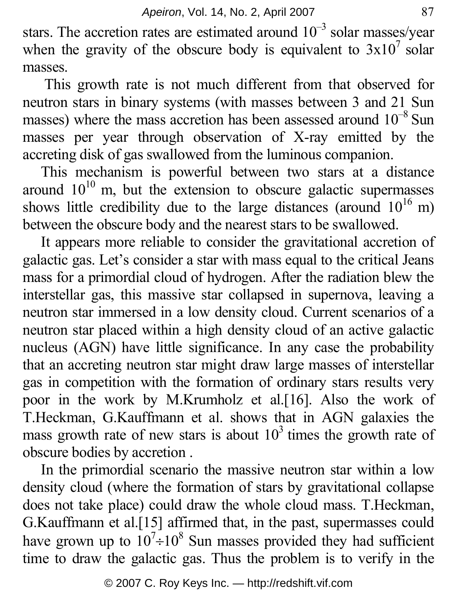stars. The accretion rates are estimated around  $10^{-3}$  solar masses/year when the gravity of the obscure body is equivalent to  $3x10^7$  solar masses.

 This growth rate is not much different from that observed for neutron stars in binary systems (with masses between 3 and 21 Sun masses) where the mass accretion has been assessed around  $10^{-8}$  Sun masses per year through observation of X-ray emitted by the accreting disk of gas swallowed from the luminous companion.

This mechanism is powerful between two stars at a distance around  $10^{10}$  m, but the extension to obscure galactic supermasses shows little credibility due to the large distances (around  $10^{16}$  m) between the obscure body and the nearest stars to be swallowed.

It appears more reliable to consider the gravitational accretion of galactic gas. Let's consider a star with mass equal to the critical Jeans mass for a primordial cloud of hydrogen. After the radiation blew the interstellar gas, this massive star collapsed in supernova, leaving a neutron star immersed in a low density cloud. Current scenarios of a neutron star placed within a high density cloud of an active galactic nucleus (AGN) have little significance. In any case the probability that an accreting neutron star might draw large masses of interstellar gas in competition with the formation of ordinary stars results very poor in the work by M.Krumholz et al.[16]. Also the work of T.Heckman, G.Kauffmann et al. shows that in AGN galaxies the mass growth rate of new stars is about  $10<sup>3</sup>$  times the growth rate of obscure bodies by accretion .

In the primordial scenario the massive neutron star within a low density cloud (where the formation of stars by gravitational collapse does not take place) could draw the whole cloud mass. T.Heckman, G.Kauffmann et al.[15] affirmed that, in the past, supermasses could have grown up to  $10^7 \div 10^8$  Sun masses provided they had sufficient time to draw the galactic gas. Thus the problem is to verify in the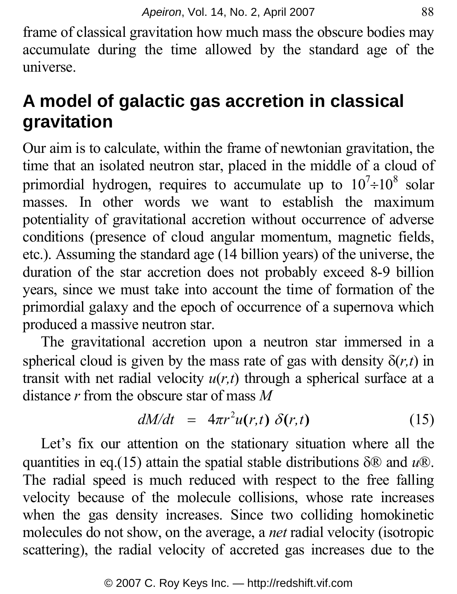frame of classical gravitation how much mass the obscure bodies may accumulate during the time allowed by the standard age of the universe.

# **A model of galactic gas accretion in classical gravitation**

Our aim is to calculate, within the frame of newtonian gravitation, the time that an isolated neutron star, placed in the middle of a cloud of primordial hydrogen, requires to accumulate up to  $10^7 \div 10^8$  solar masses. In other words we want to establish the maximum potentiality of gravitational accretion without occurrence of adverse conditions (presence of cloud angular momentum, magnetic fields, etc.). Assuming the standard age (14 billion years) of the universe, the duration of the star accretion does not probably exceed 8-9 billion years, since we must take into account the time of formation of the primordial galaxy and the epoch of occurrence of a supernova which produced a massive neutron star.

The gravitational accretion upon a neutron star immersed in a spherical cloud is given by the mass rate of gas with density  $\delta(r,t)$  in transit with net radial velocity  $u(r,t)$  through a spherical surface at a distance *r* from the obscure star of mass *M*

$$
dM/dt = 4\pi r^2 u(r,t) \delta(r,t) \qquad (15)
$$

Let's fix our attention on the stationary situation where all the quantities in eq.(15) attain the spatial stable distributions δ® and *u*®. The radial speed is much reduced with respect to the free falling velocity because of the molecule collisions, whose rate increases when the gas density increases. Since two colliding homokinetic molecules do not show, on the average, a *net* radial velocity (isotropic scattering), the radial velocity of accreted gas increases due to the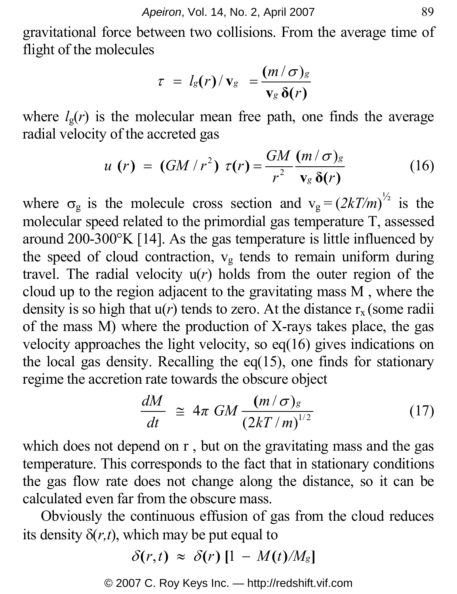gravitational force between two collisions. From the average time of flight of the molecules

$$
\tau = l_{\rm g}(r)/\,{\rm v}_{\rm g} = \frac{(m/\sigma)_{\rm g}}{{\rm v}_{\rm g}\,\delta(r)}
$$

where  $l_g(r)$  is the molecular mean free path, one finds the average radial velocity of the accreted gas

$$
u(r) = (GM/r^2) \tau(r) = \frac{GM}{r^2} \frac{(m/\sigma)_g}{v_g \delta(r)}
$$
(16)

where  $\sigma_{\rm g}$  is the molecule cross section and  $v_{\rm g} = (2kT/m)^{1/2}$  is the molecular speed related to the primordial gas temperature T, assessed around 200-300°K [14]. As the gas temperature is little influenced by the speed of cloud contraction,  $v_{\rm g}$  tends to remain uniform during travel. The radial velocity  $u(r)$  holds from the outer region of the cloud up to the region adjacent to the gravitating mass M , where the density is so high that  $u(r)$  tends to zero. At the distance  $r_x$  (some radii) of the mass M) where the production of X-rays takes place, the gas velocity approaches the light velocity, so eq(16) gives indications on the local gas density. Recalling the  $eq(15)$ , one finds for stationary regime the accretion rate towards the obscure object

$$
\frac{dM}{dt} \cong 4\pi \; GM \frac{(m/\sigma)_g}{(2kT/m)^{1/2}} \tag{17}
$$

which does not depend on r , but on the gravitating mass and the gas temperature. This corresponds to the fact that in stationary conditions the gas flow rate does not change along the distance, so it can be calculated even far from the obscure mass.

Obviously the continuous effusion of gas from the cloud reduces its density  $\delta(r,t)$ , which may be put equal to

$$
\delta(r,t) \approx \delta(r) \left[1 - M(t)/M_{\rm g}\right]
$$

© 2007 C. Roy Keys Inc. — http://redshift.vif.com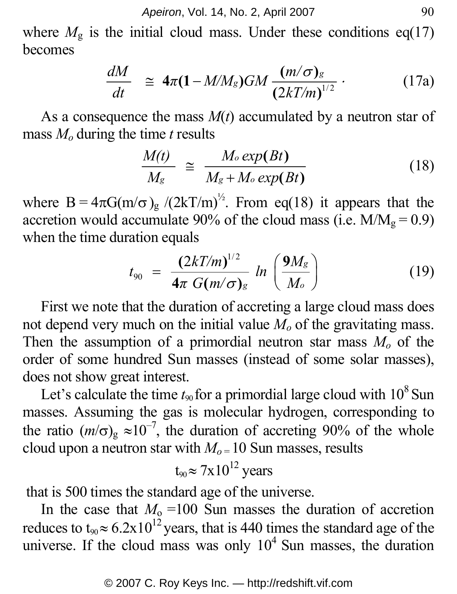where  $M<sub>g</sub>$  is the initial cloud mass. Under these conditions eq(17) becomes

$$
\frac{dM}{dt} \cong 4\pi (1 - M/M_g)GM \frac{(m/\sigma)_g}{(2kT/m)^{1/2}} \,. \tag{17a}
$$

As a consequence the mass  $M(t)$  accumulated by a neutron star of mass  $M<sub>o</sub>$  during the time *t* results

$$
\frac{M(t)}{M_s} \cong \frac{M_o \exp(Bt)}{M_s + M_o \exp(Bt)} \tag{18}
$$

where  $B = 4\pi G(m/\sigma)g/(2kT/m)^{1/2}$ . From eq(18) it appears that the accretion would accumulate 90% of the cloud mass (i.e.  $M/M_g = 0.9$ ) when the time duration equals

$$
t_{90} = \frac{(2kT/m)^{1/2}}{4\pi G(m/\sigma)_g} \ln\left(\frac{9M_g}{M_o}\right) \tag{19}
$$

First we note that the duration of accreting a large cloud mass does not depend very much on the initial value  $M<sub>o</sub>$  of the gravitating mass. Then the assumption of a primordial neutron star mass  $M<sub>o</sub>$  of the order of some hundred Sun masses (instead of some solar masses), does not show great interest.

Let's calculate the time  $t_{90}$  for a primordial large cloud with  $10^8$  Sun masses. Assuming the gas is molecular hydrogen, corresponding to the ratio  $(m/\sigma)_{\text{g}} \approx 10^{-7}$ , the duration of accreting 90% of the whole cloud upon a neutron star with  $M<sub>o</sub> = 10$  Sun masses, results

$$
t_{90} \approx 7 \times 10^{12}
$$
 years

that is 500 times the standard age of the universe.

In the case that  $M_0 = 100$  Sun masses the duration of accretion reduces to  $t_{90} \approx 6.2 \times 10^{12}$  years, that is 440 times the standard age of the universe. If the cloud mass was only  $10<sup>4</sup>$  Sun masses, the duration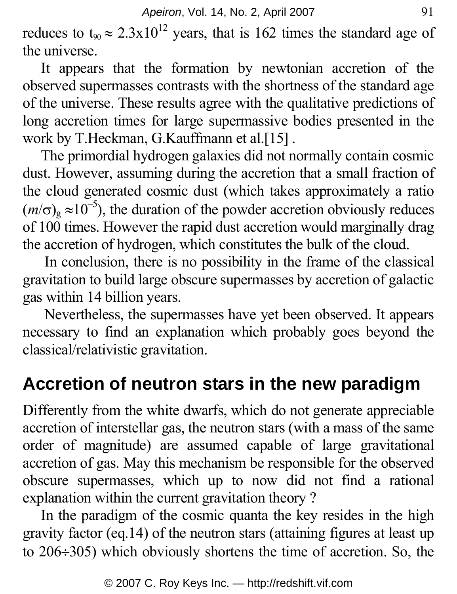reduces to  $t_{90} \approx 2.3 \times 10^{12}$  years, that is 162 times the standard age of the universe.

It appears that the formation by newtonian accretion of the observed supermasses contrasts with the shortness of the standard age of the universe. These results agree with the qualitative predictions of long accretion times for large supermassive bodies presented in the work by T.Heckman, G.Kauffmann et al.[15] .

The primordial hydrogen galaxies did not normally contain cosmic dust. However, assuming during the accretion that a small fraction of the cloud generated cosmic dust (which takes approximately a ratio  $(m/\sigma)_{\rm g} \approx 10^{-5}$ ), the duration of the powder accretion obviously reduces of 100 times. However the rapid dust accretion would marginally drag the accretion of hydrogen, which constitutes the bulk of the cloud.

 In conclusion, there is no possibility in the frame of the classical gravitation to build large obscure supermasses by accretion of galactic gas within 14 billion years.

Nevertheless, the supermasses have yet been observed. It appears necessary to find an explanation which probably goes beyond the classical/relativistic gravitation.

# **Accretion of neutron stars in the new paradigm**

Differently from the white dwarfs, which do not generate appreciable accretion of interstellar gas, the neutron stars (with a mass of the same order of magnitude) are assumed capable of large gravitational accretion of gas. May this mechanism be responsible for the observed obscure supermasses, which up to now did not find a rational explanation within the current gravitation theory ?

In the paradigm of the cosmic quanta the key resides in the high gravity factor (eq.14) of the neutron stars (attaining figures at least up to 206÷305) which obviously shortens the time of accretion. So, the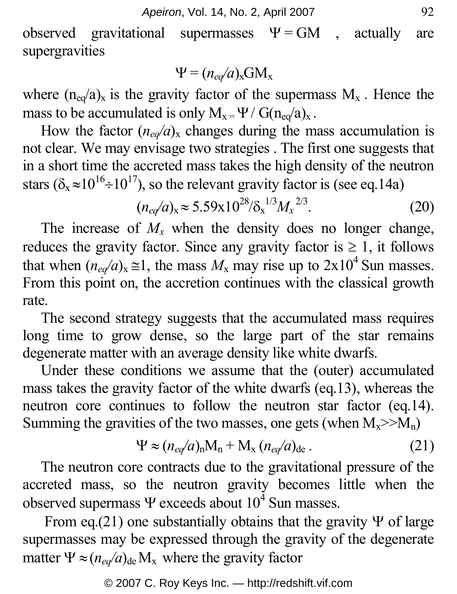observed gravitational supermasses  $\Psi = GM$ , actually are supergravities

$$
\Psi = (n_{eq}/a)_{\rm x} \text{GM}_{\rm x}
$$

where  $(n_{eq}/a)_x$  is the gravity factor of the supermass  $M_x$ . Hence the mass to be accumulated is only  $M_x = \Psi / G(n_{eq}/a)_x$ .

How the factor  $(n_{eq}/a)_{x}$  changes during the mass accumulation is not clear. We may envisage two strategies . The first one suggests that in a short time the accreted mass takes the high density of the neutron stars ( $\delta_x \approx 10^{16} \div 10^{17}$ ), so the relevant gravity factor is (see eq.14a)

$$
(n_{eq}/a)_{\rm x} \approx 5.59 \times 10^{28} / \delta_{\rm x}^{1/3} M_{\rm x}^{2/3}.
$$
 (20)

The increase of  $M_x$  when the density does no longer change, reduces the gravity factor. Since any gravity factor is  $\geq 1$ , it follows that when  $(n_{eq}/a)_x \approx 1$ , the mass  $M_x$  may rise up to  $2 \times 10^4$  Sun masses. From this point on, the accretion continues with the classical growth rate.

The second strategy suggests that the accumulated mass requires long time to grow dense, so the large part of the star remains degenerate matter with an average density like white dwarfs.

Under these conditions we assume that the (outer) accumulated mass takes the gravity factor of the white dwarfs (eq.13), whereas the neutron core continues to follow the neutron star factor (eq.14). Summing the gravities of the two masses, one gets (when  $M_x >> M_n$ )

$$
\Psi \approx (n_{eq}/a)_{\rm n}M_{\rm n} + M_{\rm x} (n_{eq}/a)_{\rm de} \,. \tag{21}
$$

The neutron core contracts due to the gravitational pressure of the accreted mass, so the neutron gravity becomes little when the observed supermass  $\Psi$  exceeds about  $10^4$  Sun masses.

From eq.(21) one substantially obtains that the gravity  $\Psi$  of large supermasses may be expressed through the gravity of the degenerate matter  $\Psi \approx (n_{eq}/a)_{de} M_x$  where the gravity factor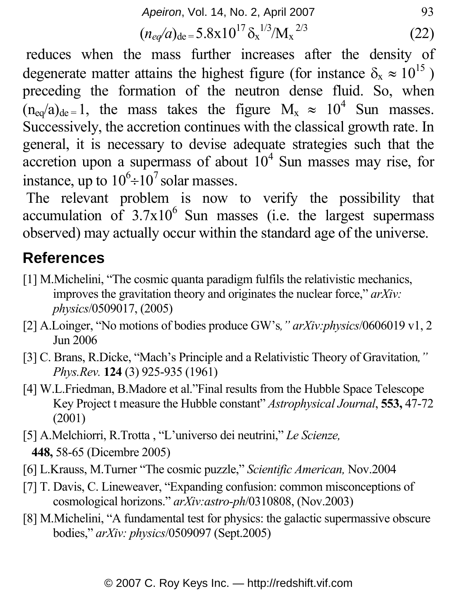*Apeiron*, Vol. 14, No. 2, April 2007 93

$$
(n_{eq}/a)_{\text{de}} = 5.8 \times 10^{17} \, \delta_x^{1/3} / M_x^{2/3} \tag{22}
$$

 reduces when the mass further increases after the density of degenerate matter attains the highest figure (for instance  $\delta_x \approx 10^{15}$ ) preceding the formation of the neutron dense fluid. So, when  $(n_{eq}/a)_{de} = 1$ , the mass takes the figure  $M_x \approx 10^4$  Sun masses. Successively, the accretion continues with the classical growth rate. In general, it is necessary to devise adequate strategies such that the accretion upon a supermass of about  $10^4$  Sun masses may rise, for instance, up to  $10^6 \div 10^7$  solar masses.

 The relevant problem is now to verify the possibility that accumulation of  $3.7x10^6$  Sun masses (i.e. the largest supermass observed) may actually occur within the standard age of the universe.

#### **References**

- [1] M.Michelini, "The cosmic quanta paradigm fulfils the relativistic mechanics, improves the gravitation theory and originates the nuclear force," *arXiv: physics*/0509017, (2005)
- [2] A.Loinger, "No motions of bodies produce GW's*," arXiv:physics*/0606019 v1, 2 Jun 2006
- [3] C. Brans, R.Dicke, "Mach's Principle and a Relativistic Theory of Gravitation*," Phys.Rev.* **124** (3) 925-935 (1961)
- [4] W.L.Friedman, B.Madore et al."Final results from the Hubble Space Telescope Key Project t measure the Hubble constant" *Astrophysical Journal*, **553,** 47-72 (2001)
- [5] A.Melchiorri, R.Trotta , "L'universo dei neutrini," *Le Scienze,* **448,** 58-65 (Dicembre 2005)
- [6] L.Krauss, M.Turner "The cosmic puzzle," *Scientific American,* Nov.2004
- [7] T. Davis, C. Lineweaver, "Expanding confusion: common misconceptions of cosmological horizons." *arXiv:astro-ph*/0310808, (Nov.2003)
- [8] M.Michelini, "A fundamental test for physics: the galactic supermassive obscure bodies," *arXiv: physics*/0509097 (Sept.2005)